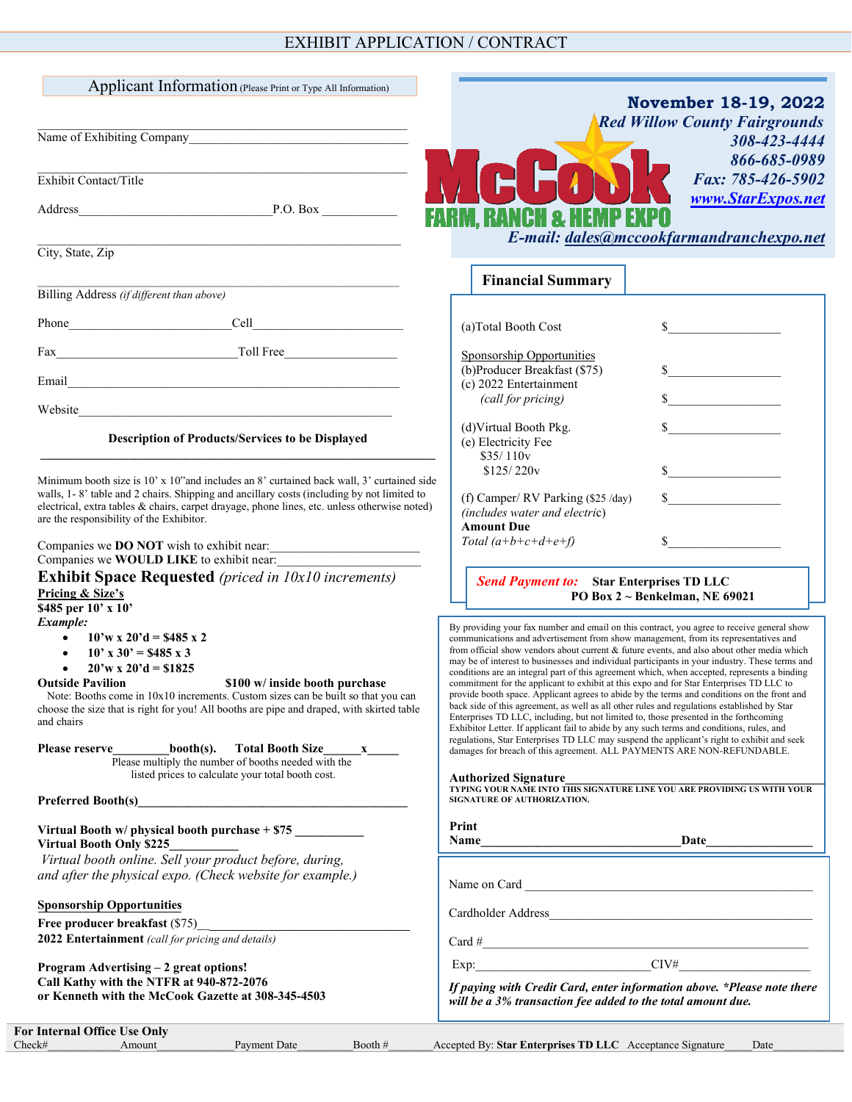## EXHIBIT APPLICATION / CONTRACT

| Name of Exhibiting Company<br><u> 1980 - Jan Sterling von Berger von Berger von Berger von Berger von Berger von Berger von Berger von Berger</u><br>Exhibit Contact/Title<br>City, State, Zip                                                                                                                                                                                                                                                                                                                                                                                                                                                                                                                                                                | <b>November 18-19, 2022</b><br><b>Red Willow County Fairgrounds</b><br>308-423-4444<br>866-685-0989<br>Fax: 785-426-5902<br>www.StarExpos.net<br>FARM. RANCH & HEMP EXPO<br>E-mail: dales@mccookfarmandranchexpo.net                                                                                                                                                                                                                                                                                                                                                                                                                                                                                                                                                                                                                                                                                                                                                                                                                                                                                                                                                                                                                                                               |
|---------------------------------------------------------------------------------------------------------------------------------------------------------------------------------------------------------------------------------------------------------------------------------------------------------------------------------------------------------------------------------------------------------------------------------------------------------------------------------------------------------------------------------------------------------------------------------------------------------------------------------------------------------------------------------------------------------------------------------------------------------------|------------------------------------------------------------------------------------------------------------------------------------------------------------------------------------------------------------------------------------------------------------------------------------------------------------------------------------------------------------------------------------------------------------------------------------------------------------------------------------------------------------------------------------------------------------------------------------------------------------------------------------------------------------------------------------------------------------------------------------------------------------------------------------------------------------------------------------------------------------------------------------------------------------------------------------------------------------------------------------------------------------------------------------------------------------------------------------------------------------------------------------------------------------------------------------------------------------------------------------------------------------------------------------|
|                                                                                                                                                                                                                                                                                                                                                                                                                                                                                                                                                                                                                                                                                                                                                               | <b>Financial Summary</b>                                                                                                                                                                                                                                                                                                                                                                                                                                                                                                                                                                                                                                                                                                                                                                                                                                                                                                                                                                                                                                                                                                                                                                                                                                                           |
| Billing Address (if different than above)                                                                                                                                                                                                                                                                                                                                                                                                                                                                                                                                                                                                                                                                                                                     |                                                                                                                                                                                                                                                                                                                                                                                                                                                                                                                                                                                                                                                                                                                                                                                                                                                                                                                                                                                                                                                                                                                                                                                                                                                                                    |
|                                                                                                                                                                                                                                                                                                                                                                                                                                                                                                                                                                                                                                                                                                                                                               | (a)Total Booth Cost<br>$\sim$                                                                                                                                                                                                                                                                                                                                                                                                                                                                                                                                                                                                                                                                                                                                                                                                                                                                                                                                                                                                                                                                                                                                                                                                                                                      |
|                                                                                                                                                                                                                                                                                                                                                                                                                                                                                                                                                                                                                                                                                                                                                               | Sponsorship Opportunities<br>(b)Producer Breakfast (\$75)<br>$\sim$                                                                                                                                                                                                                                                                                                                                                                                                                                                                                                                                                                                                                                                                                                                                                                                                                                                                                                                                                                                                                                                                                                                                                                                                                |
|                                                                                                                                                                                                                                                                                                                                                                                                                                                                                                                                                                                                                                                                                                                                                               | (c) 2022 Entertainment<br>$\sim$<br>(call for pricing)                                                                                                                                                                                                                                                                                                                                                                                                                                                                                                                                                                                                                                                                                                                                                                                                                                                                                                                                                                                                                                                                                                                                                                                                                             |
| <u> 1980 - Johann Barn, mars ar breithinn ar chuid ann an t-</u><br>Website                                                                                                                                                                                                                                                                                                                                                                                                                                                                                                                                                                                                                                                                                   |                                                                                                                                                                                                                                                                                                                                                                                                                                                                                                                                                                                                                                                                                                                                                                                                                                                                                                                                                                                                                                                                                                                                                                                                                                                                                    |
| Description of Products/Services to be Displayed                                                                                                                                                                                                                                                                                                                                                                                                                                                                                                                                                                                                                                                                                                              | (d)Virtual Booth Pkg.<br>(e) Electricity Fee<br>\$35/110v                                                                                                                                                                                                                                                                                                                                                                                                                                                                                                                                                                                                                                                                                                                                                                                                                                                                                                                                                                                                                                                                                                                                                                                                                          |
| Minimum booth size is 10' x 10" and includes an 8' curtained back wall, 3' curtained side<br>walls, 1-8' table and 2 chairs. Shipping and ancillary costs (including by not limited to<br>electrical, extra tables & chairs, carpet drayage, phone lines, etc. unless otherwise noted)<br>are the responsibility of the Exhibitor.<br>Companies we <b>DO NOT</b> wish to exhibit near:                                                                                                                                                                                                                                                                                                                                                                        | $\frac{1}{2}$<br>\$125/220v<br>$\mathbb{S}$<br>(f) Camper/ RV Parking (\$25 /day)<br>(includes water and electric)<br><b>Amount Due</b><br>$\mathbb{S}$<br>Total $(a+b+c+d+e+f)$                                                                                                                                                                                                                                                                                                                                                                                                                                                                                                                                                                                                                                                                                                                                                                                                                                                                                                                                                                                                                                                                                                   |
| Companies we WOULD LIKE to exhibit near:<br><b>Exhibit Space Requested</b> (priced in 10x10 increments)<br>Pricing & Size's<br>\$485 per 10' x 10'                                                                                                                                                                                                                                                                                                                                                                                                                                                                                                                                                                                                            | <b>Send Payment to:</b> Star Enterprises TD LLC<br>PO Box $2 \sim$ Benkelman, NE 69021                                                                                                                                                                                                                                                                                                                                                                                                                                                                                                                                                                                                                                                                                                                                                                                                                                                                                                                                                                                                                                                                                                                                                                                             |
| Example:<br>$10'$ w x $20'd = $485x2$<br>$\bullet$<br>$10'$ x 30' = \$485 x 3<br>$20'w \times 20'd = $1825$<br><b>Outside Pavilion</b><br>\$100 w/ inside booth purchase<br>Note: Booths come in 10x10 increments. Custom sizes can be built so that you can<br>choose the size that is right for you! All booths are pipe and draped, with skirted table<br>and chairs<br>Please reserve<br>$booth(s)$ .<br>Please multiply the number of booths needed with the<br>listed prices to calculate your total booth cost.<br>Preferred Booth(s) <b>Example 2</b> and 2 and 2 and 2 and 2 and 2 and 2 and 2 and 2 and 2 and 2 and 2 and 2 and 2 and 2 and 2 and 2 and 2 and 2 and 2 and 2 and 2 and 2 and 2 and 2 and 2 and 2 and 2 and 2 and 2 and 2 and 2 and 2 | By providing your fax number and email on this contract, you agree to receive general show<br>communications and advertisement from show management, from its representatives and<br>from official show vendors about current & future events, and also about other media which<br>may be of interest to businesses and individual participants in your industry. These terms and<br>conditions are an integral part of this agreement which, when accepted, represents a binding<br>commitment for the applicant to exhibit at this expo and for Star Enterprises TD LLC to<br>provide booth space. Applicant agrees to abide by the terms and conditions on the front and<br>back side of this agreement, as well as all other rules and regulations established by Star<br>Enterprises TD LLC, including, but not limited to, those presented in the forthcoming<br>Exhibitor Letter. If applicant fail to abide by any such terms and conditions, rules, and<br>regulations, Star Enterprises TD LLC may suspend the applicant's right to exhibit and seek<br>damages for breach of this agreement. ALL PAYMENTS ARE NON-REFUNDABLE.<br><b>Authorized Signature</b><br>TYPING YOUR NAME INTO THIS SIGNATURE LINE YOU ARE PROVIDING US WITH YOUR<br>SIGNATURE OF AUTHORIZATION. |
| Virtual Booth w/ physical booth purchase + \$75<br><b>Virtual Booth Only \$225</b>                                                                                                                                                                                                                                                                                                                                                                                                                                                                                                                                                                                                                                                                            | Print<br>Name<br><b>Date</b>                                                                                                                                                                                                                                                                                                                                                                                                                                                                                                                                                                                                                                                                                                                                                                                                                                                                                                                                                                                                                                                                                                                                                                                                                                                       |
| Virtual booth online. Sell your product before, during,<br>and after the physical expo. (Check website for example.)                                                                                                                                                                                                                                                                                                                                                                                                                                                                                                                                                                                                                                          |                                                                                                                                                                                                                                                                                                                                                                                                                                                                                                                                                                                                                                                                                                                                                                                                                                                                                                                                                                                                                                                                                                                                                                                                                                                                                    |
| <b>Sponsorship Opportunities</b>                                                                                                                                                                                                                                                                                                                                                                                                                                                                                                                                                                                                                                                                                                                              |                                                                                                                                                                                                                                                                                                                                                                                                                                                                                                                                                                                                                                                                                                                                                                                                                                                                                                                                                                                                                                                                                                                                                                                                                                                                                    |
|                                                                                                                                                                                                                                                                                                                                                                                                                                                                                                                                                                                                                                                                                                                                                               |                                                                                                                                                                                                                                                                                                                                                                                                                                                                                                                                                                                                                                                                                                                                                                                                                                                                                                                                                                                                                                                                                                                                                                                                                                                                                    |
| 2022 Entertainment (call for pricing and details)                                                                                                                                                                                                                                                                                                                                                                                                                                                                                                                                                                                                                                                                                                             |                                                                                                                                                                                                                                                                                                                                                                                                                                                                                                                                                                                                                                                                                                                                                                                                                                                                                                                                                                                                                                                                                                                                                                                                                                                                                    |
| Program Advertising - 2 great options!<br>Call Kathy with the NTFR at 940-872-2076<br>or Kenneth with the McCook Gazette at 308-345-4503                                                                                                                                                                                                                                                                                                                                                                                                                                                                                                                                                                                                                      | If paying with Credit Card, enter information above. *Please note there<br>will be a 3% transaction fee added to the total amount due.                                                                                                                                                                                                                                                                                                                                                                                                                                                                                                                                                                                                                                                                                                                                                                                                                                                                                                                                                                                                                                                                                                                                             |